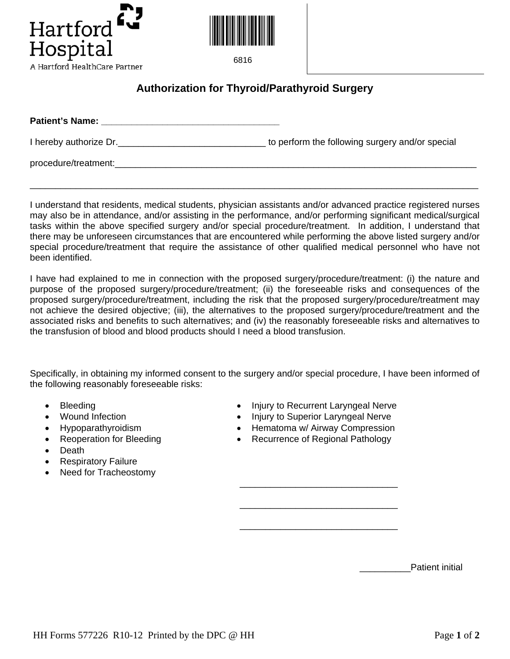



6816

## **Authorization for Thyroid/Parathyroid Surgery**

| <b>Patient's Name:</b> |                                                 |
|------------------------|-------------------------------------------------|
| I hereby authorize Dr. | to perform the following surgery and/or special |
| procedure/treatment:   |                                                 |

I understand that residents, medical students, physician assistants and/or advanced practice registered nurses may also be in attendance, and/or assisting in the performance, and/or performing significant medical/surgical tasks within the above specified surgery and/or special procedure/treatment. In addition, I understand that there may be unforeseen circumstances that are encountered while performing the above listed surgery and/or special procedure/treatment that require the assistance of other qualified medical personnel who have not been identified.

\_\_\_\_\_\_\_\_\_\_\_\_\_\_\_\_\_\_\_\_\_\_\_\_\_\_\_\_\_\_\_\_\_\_\_\_\_\_\_\_\_\_\_\_\_\_\_\_\_\_\_\_\_\_\_\_\_\_\_\_\_\_\_\_\_\_\_\_\_\_\_\_\_\_\_\_\_\_\_\_\_\_\_\_\_\_\_\_

I have had explained to me in connection with the proposed surgery/procedure/treatment: (i) the nature and purpose of the proposed surgery/procedure/treatment; (ii) the foreseeable risks and consequences of the proposed surgery/procedure/treatment, including the risk that the proposed surgery/procedure/treatment may not achieve the desired objective; (iii), the alternatives to the proposed surgery/procedure/treatment and the associated risks and benefits to such alternatives; and (iv) the reasonably foreseeable risks and alternatives to the transfusion of blood and blood products should I need a blood transfusion.

Specifically, in obtaining my informed consent to the surgery and/or special procedure, I have been informed of the following reasonably foreseeable risks:

 $\overline{\phantom{a}}$  , and the contract of the contract of the contract of the contract of the contract of the contract of the contract of the contract of the contract of the contract of the contract of the contract of the contrac

 $\overline{\phantom{a}}$  , and the contract of the contract of the contract of the contract of the contract of the contract of the contract of the contract of the contract of the contract of the contract of the contract of the contrac

 $\overline{\phantom{a}}$  , and the contract of the contract of the contract of the contract of the contract of the contract of the contract of the contract of the contract of the contract of the contract of the contract of the contrac

- 
- 
- 
- 
- Death
- Respiratory Failure
- Need for Tracheostomy
- Bleeding Injury to Recurrent Laryngeal Nerve
- Wound Infection Injury to Superior Laryngeal Nerve
- Hypoparathyroidism Hematoma w/ Airway Compression
- Reoperation for Bleeding **•** Recurrence of Regional Pathology

Patient initial